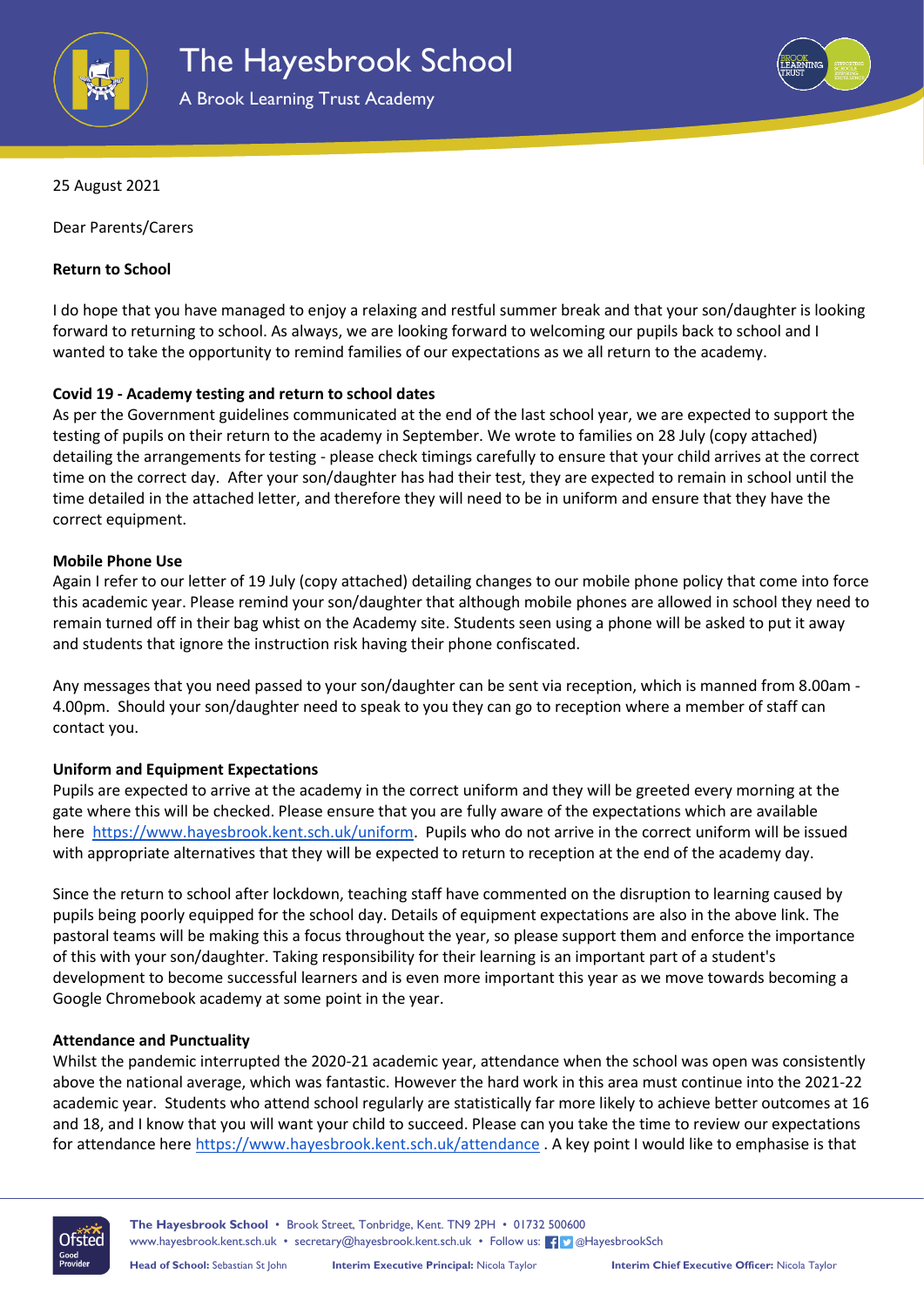



25 August 2021

Dear Parents/Carers

# **Return to School**

I do hope that you have managed to enjoy a relaxing and restful summer break and that your son/daughter is looking forward to returning to school. As always, we are looking forward to welcoming our pupils back to school and I wanted to take the opportunity to remind families of our expectations as we all return to the academy.

# **Covid 19 - Academy testing and return to school dates**

As per the Government guidelines communicated at the end of the last school year, we are expected to support the testing of pupils on their return to the academy in September. We wrote to families on 28 July (copy attached) detailing the arrangements for testing - please check timings carefully to ensure that your child arrives at the correct time on the correct day. After your son/daughter has had their test, they are expected to remain in school until the time detailed in the attached letter, and therefore they will need to be in uniform and ensure that they have the correct equipment.

## **Mobile Phone Use**

Again I refer to our letter of 19 July (copy attached) detailing changes to our mobile phone policy that come into force this academic year. Please remind your son/daughter that although mobile phones are allowed in school they need to remain turned off in their bag whist on the Academy site. Students seen using a phone will be asked to put it away and students that ignore the instruction risk having their phone confiscated.

Any messages that you need passed to your son/daughter can be sent via reception, which is manned from 8.00am - 4.00pm. Should your son/daughter need to speak to you they can go to reception where a member of staff can contact you.

## **Uniform and Equipment Expectations**

Pupils are expected to arrive at the academy in the correct uniform and they will be greeted every morning at the gate where this will be checked. Please ensure that you are fully aware of the expectations which are available here [https://www.hayesbrook.kent.sch.uk/uniform.](https://www.hayesbrook.kent.sch.uk/uniform) Pupils who do not arrive in the correct uniform will be issued with appropriate alternatives that they will be expected to return to reception at the end of the academy day.

Since the return to school after lockdown, teaching staff have commented on the disruption to learning caused by pupils being poorly equipped for the school day. Details of equipment expectations are also in the above link. The pastoral teams will be making this a focus throughout the year, so please support them and enforce the importance of this with your son/daughter. Taking responsibility for their learning is an important part of a student's development to become successful learners and is even more important this year as we move towards becoming a Google Chromebook academy at some point in the year.

## **Attendance and Punctuality**

Whilst the pandemic interrupted the 2020-21 academic year, attendance when the school was open was consistently above the national average, which was fantastic. However the hard work in this area must continue into the 2021-22 academic year. Students who attend school regularly are statistically far more likely to achieve better outcomes at 16 and 18, and I know that you will want your child to succeed. Please can you take the time to review our expectations for attendance here [https://www.hayesbrook.kent.sch.uk/a](https://www.hayesbrook.kent.sch.uk/attendance)ttendance . A key point I would like to emphasise is that